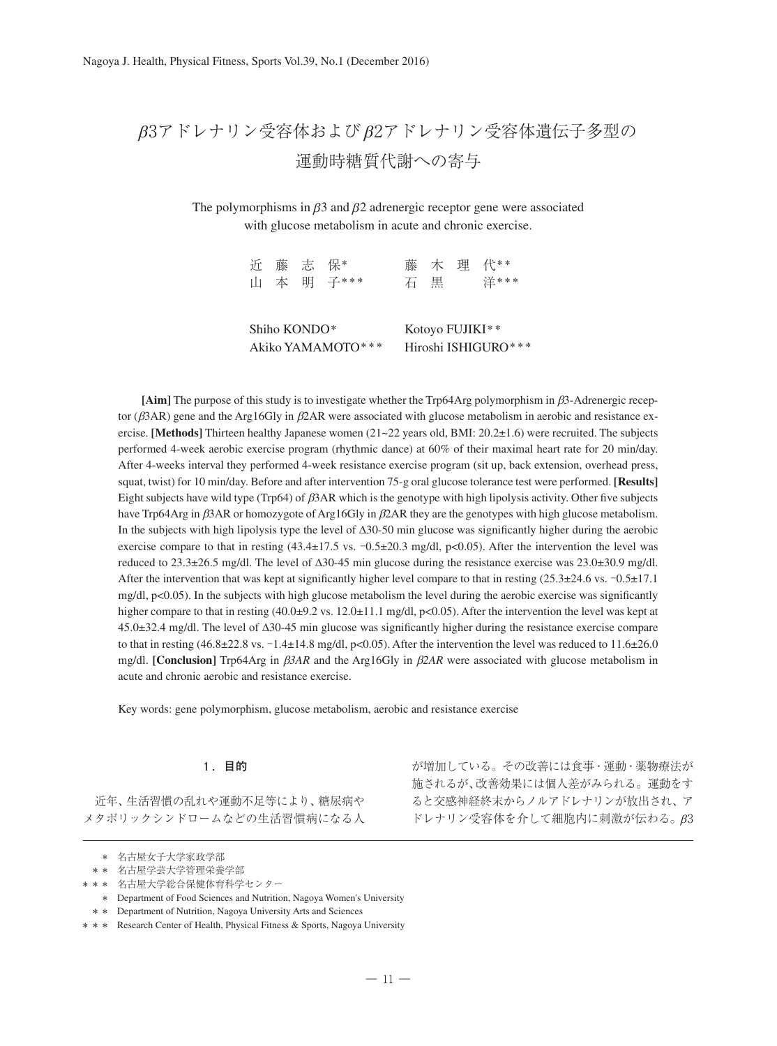# β3アドレナリン受容体およびβ2アドレナリン受容体遺伝子多型の 運動時糖質代謝への寄与

The polymorphisms in  $\beta$ 3 and  $\beta$ 2 adrenergic receptor gene were associated with glucose metabolism in acute and chronic exercise.

|                   |  |  | 近藤志保*<br>山 本 明 子*** | 石                   | 黒 |  | 藤 木 理 代**<br>洋*** |
|-------------------|--|--|---------------------|---------------------|---|--|-------------------|
| Shiho KONDO*      |  |  |                     | Kotoyo FUJIKI**     |   |  |                   |
| Akiko YAMAMOTO*** |  |  |                     | Hiroshi ISHIGURO*** |   |  |                   |

**[Aim]** The purpose of this study is to investigate whether the Trp64Arg polymorphism in β3-Adrenergic receptor (β3AR) gene and the Arg16Gly in β2AR were associated with glucose metabolism in aerobic and resistance exercise. **[Methods]** Thirteen healthy Japanese women (21~22 years old, BMI: 20.2±1.6) were recruited. The subjects performed 4-week aerobic exercise program (rhythmic dance) at 60% of their maximal heart rate for 20 min/day. After 4-weeks interval they performed 4-week resistance exercise program (sit up, back extension, overhead press, squat, twist) for 10 min/day. Before and after intervention 75-g oral glucose tolerance test were performed. **[Results]** Eight subjects have wild type (Trp64) of β3AR which is the genotype with high lipolysis activity. Other five subjects have Trp64Arg in β3AR or homozygote of Arg16Gly in β2AR they are the genotypes with high glucose metabolism. In the subjects with high lipolysis type the level of Δ30-50 min glucose was significantly higher during the aerobic exercise compare to that in resting  $(43.4\pm17.5 \text{ vs. } -0.5\pm20.3 \text{ mg/dl}, \text{p}<0.05)$ . After the intervention the level was reduced to 23.3±26.5 mg/dl. The level of Δ30-45 min glucose during the resistance exercise was 23.0±30.9 mg/dl. After the intervention that was kept at significantly higher level compare to that in resting (25.3±24.6 vs. -0.5±17.1 mg/dl, p<0.05). In the subjects with high glucose metabolism the level during the aerobic exercise was significantly higher compare to that in resting (40.0±9.2 vs. 12.0±11.1 mg/dl, p<0.05). After the intervention the level was kept at 45.0±32.4 mg/dl. The level of Δ30-45 min glucose was significantly higher during the resistance exercise compare to that in resting (46.8±22.8 vs. -1.4±14.8 mg/dl, p<0.05). After the intervention the level was reduced to 11.6±26.0 mg/dl. **[Conclusion]** Trp64Arg in β*3AR* and the Arg16Gly in β*2AR* were associated with glucose metabolism in acute and chronic aerobic and resistance exercise.

Key words: gene polymorphism, glucose metabolism, aerobic and resistance exercise

# **1 .目的**

近年、生活習慣の乱れや運動不足等により、糖尿病や メタボリックシンドロームなどの生活習慣病になる人

\* \* \* Department of Nutrition, Nagoya University Arts and Sciences

が増加している。その改善には食事・運動・薬物療法が 施されるが、改善効果には個人差がみられる。運動をす ると交感神経終末からノルアドレナリンが放出され、ア ドレナリン受容体を介して細胞内に刺激が伝わる。β3

<sup>\*</sup> \* \* 名古屋女子大学家政学部

<sup>\* \* \*</sup> 名古屋学芸大学管理栄養学部

<sup>\* \* \*</sup> 名古屋大学総合保健体育科学センター

<sup>\*</sup> \* \* Department of Food Sciences and Nutrition, Nagoya Women's University

<sup>\* \* \*</sup> Research Center of Health, Physical Fitness & Sports, Nagoya University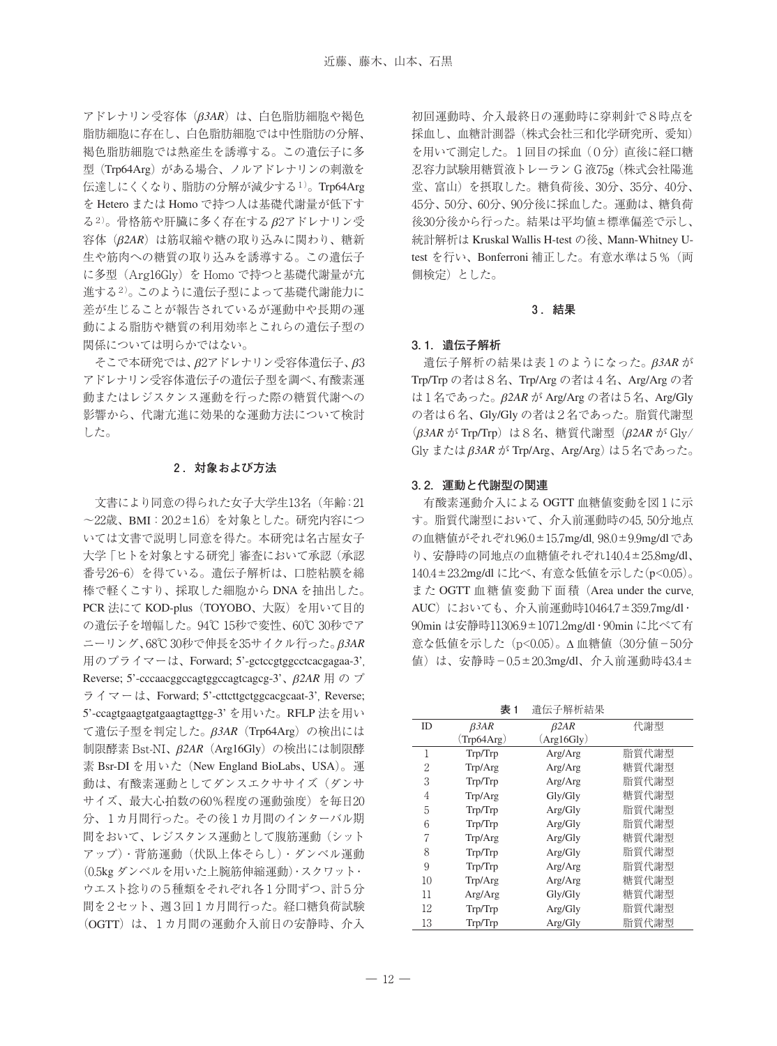アドレナリン受容体(β*3AR*)は、白色脂肪細胞や褐色 脂肪細胞に存在し、白色脂肪細胞では中性脂肪の分解、 褐色脂肪細胞では熱産生を誘導する。この遺伝子に多 型 (Trp64Arg) がある場合、ノルアドレナリンの刺激を 伝達しにくくなり、脂肪の分解が減少する1)。Trp64Arg を Hetero または Homo で持つ人は基礎代謝量が低下す る2)。骨格筋や肝臓に多く存在するβ2アドレナリン受 容体(β*2AR*)は筋収縮や糖の取り込みに関わり、糖新 生や筋肉への糖質の取り込みを誘導する。この遺伝子 に多型 (Arg16Gly) を Homo で持つと基礎代謝量が亢 進する2)。このように遺伝子型によって基礎代謝能力に 差が生じることが報告されているが運動中や長期の運 動による脂肪や糖質の利用効率とこれらの遺伝子型の 関係については明らかではない。

そこで本研究では、β2アドレナリン受容体遺伝子、β3 アドレナリン受容体遺伝子の遺伝子型を調べ、有酸素運 動またはレジスタンス運動を行った際の糖質代謝への 影響から、代謝亢進に効果的な運動方法について検討 した。

### **2 .対象および方法**

文書により同意の得られた女子大学生13名(年齢:21 ~22歳、BMI:20.2±1.6)を対象とした。研究内容につ いては文書で説明し同意を得た。本研究は名古屋女子 大学「ヒトを対象とする研究」審査において承認(承認 番号26-6)を得ている。遺伝子解析は、口腔粘膜を綿 棒で軽くこすり、採取した細胞から DNA を抽出した。 PCR 法にて KOD-plus (TOYOBO、大阪)を用いて目的 の遺伝子を増幅した。94℃ 15秒で変性、60℃ 30秒でア ニーリング、68℃30秒で伸長を35サイクル行った。β*3AR* 用のプライマーは、Forward; 5'-gctccgtggcctcacgagaa-3', Reverse; 5'-cccaacggccagtggccagtcagcg-3'、β*2AR* 用のプ ライマーは、Forward; 5'-cttcttgctggcacgcaat-3', Reverse; 5'-ccagtgaagtgatgaagtagttgg-3' を用いた。RFLP 法を用い て遺伝子型を判定した。β*3AR*(Trp64Arg)の検出には 制限酵素 Bst-NI、β*2AR*(Arg16Gly)の検出には制限酵 素 Bsr-DI を用いた (New England BioLabs、USA)。運 動は、有酸素運動としてダンスエクササイズ(ダンサ サイズ、最大心拍数の60%程度の運動強度)を毎日20 分、1カ月間行った。その後1カ月間のインターバル期 間をおいて、レジスタンス運動として腹筋運動(シット アップ)・背筋運動(伏臥上体そらし)・ダンベル運動 (0.5kg ダンベルを用いた上腕筋伸縮運動)・スクワット・ ウエスト捻りの5種類をそれぞれ各1分間ずつ、計5分 間を2セット、週3回1カ月間行った。経口糖負荷試験 (OGTT)は、1カ月間の運動介入前日の安静時、介入

初回運動時、介入最終日の運動時に穿刺針で8時点を 採血し、血糖計測器(株式会社三和化学研究所、愛知) を用いて測定した。1回目の採血(0分)直後に経口糖 忍容力試験用糖質液トレーラン G 液75g(株式会社陽進 堂、富山)を摂取した。糖負荷後、30分、35分、40分、 45分、50分、60分、90分後に採血した。運動は、糖負荷 後30分後から行った。結果は平均値±標準偏差で示し、 統計解析は Kruskal Wallis H-test の後、Mann-Whitney Utest を行い、Bonferroni 補正した。有意水準は5%(両 側検定)とした。

#### **3 .結果**

## **3.1.遺伝子解析**

遺伝子解析の結果は表1のようになった。β*3AR* が Trp/Trp の者は8名、Trp/Arg の者は4名、Arg/Arg の者 は1名であった。β*2AR* が Arg/Arg の者は5名、Arg/Gly の者は6名、Gly/Gly の者は2名であった。脂質代謝型 (β*3AR* が Trp/Trp)は8名、糖質代謝型(β*2AR* が Gly/ Gly またはβ*3AR* が Trp/Arg、Arg/Arg)は5名であった。

#### **3.2.運動と代謝型の関連**

有酸素運動介入による OGTT 血糖値変動を図1に示 す。脂質代謝型において、介入前運動時の45, 50分地点 の血糖値がそれぞれ96.0±15.7mg/dl, 98.0±9.9mg/dlであ り、安静時の同地点の血糖値それぞれ140.4±25.8mg/dl、 140.4±23.2mg/dl に比べ、有意な低値を示した(p<0.05)。 また OGTT 血糖値変動下面積(Area under the curve, AUC) においても、介入前運動時10464.7±359.7mg/dl· 90min は安静時11306.9±1071.2mg/dl・90min に比べて有 意な低値を示した (p<0.05)。Δ 血糖値 (30分値-50分 値)は、安静時-0.5±20.3mg/dl、介入前運動時43.4±

**表 1** 遺伝子解析結果

| <b>ID</b> | $\beta 3AR$ | B2AR       | 代謝型   |
|-----------|-------------|------------|-------|
|           | (Trp64Arg)  | (Arg16Gly) |       |
| 1         | Trp/Trp     | Arg/Arg    | 脂質代謝型 |
| 2         | Trp/Arg     | Arg/Arg    | 糖質代謝型 |
| 3         | Trp/Trp     | Arg/Arg    | 脂質代謝型 |
| 4         | Trp/Arg     | Gly/Gly    | 糖質代謝型 |
| 5         | Trp/Trp     | Arg/Gly    | 脂質代謝型 |
| 6         | Trp/Trp     | Arg/Gly    | 脂質代謝型 |
| 7         | Trp/Arg     | Arg/Gly    | 糖質代謝型 |
| 8         | Trp/Trp     | Arg/Gly    | 脂質代謝型 |
| 9         | Trp/Trp     | Arg/Arg    | 脂質代謝型 |
| 10        | Trp/Arg     | Arg/Arg    | 糖質代謝型 |
| 11        | Arg/Arg     | Gly/Gly    | 糖質代謝型 |
| 12        | Trp/Trp     | Arg/Gly    | 脂質代謝型 |
| 13        | Trp/Trp     | Arg/Gly    | 脂質代謝型 |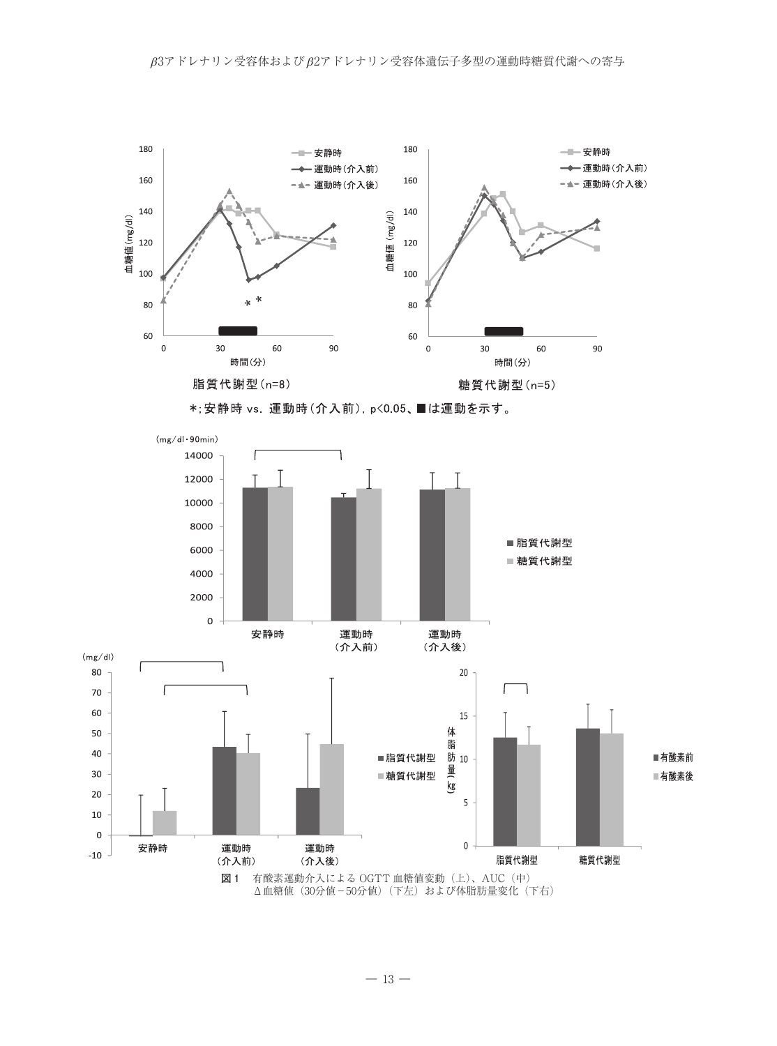



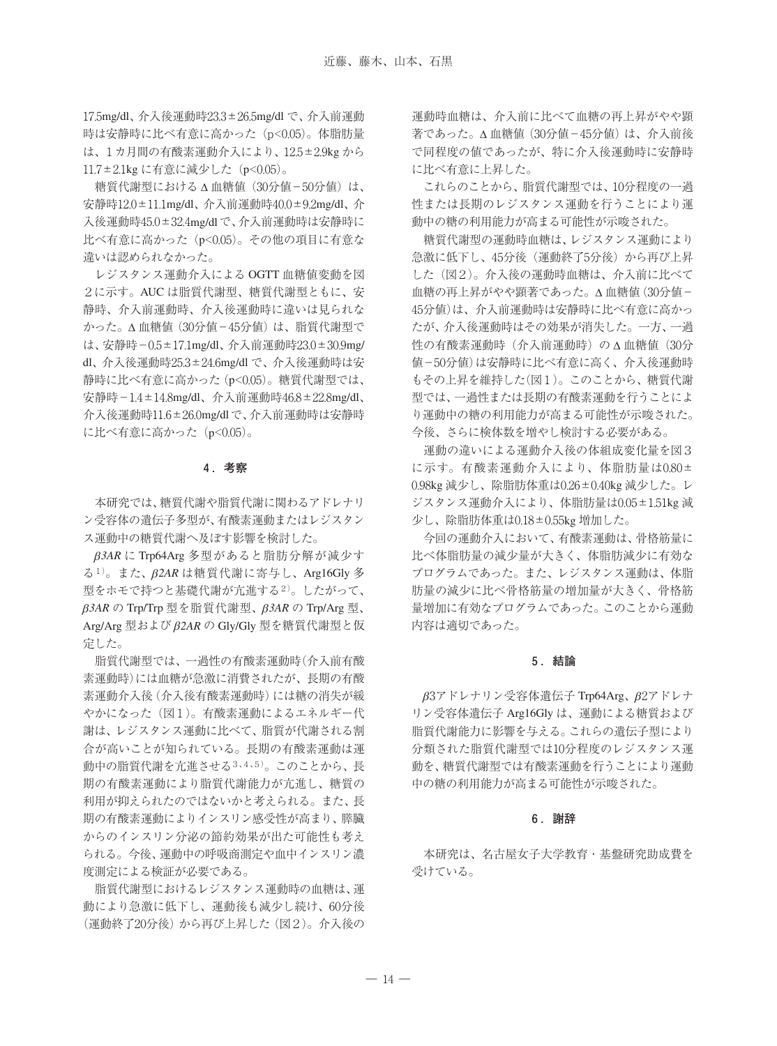17.5mg/dl、介入後運動時23.3±26.5mg/dl で、介入前運動 時は安静時に比べ有意に高かった (p<0.05)。体脂肪量 は、1カ月間の有酸素運動介入により、12.5±2.9kg から 11.7±2.1kg に有意に減少した (p<0.05)。

糖質代謝型における Δ 血糖値(30分値−50分値)は、 安静時12.0±11.1mg/dl、介入前運動時40.0±9.2mg/dl、介 入後運動時45.0±32.4mg/dlで、介入前運動時は安静時に 比べ有意に高かった (p<0.05)。その他の項目に有意な 違いは認められなかった。

レジスタンス運動介入による OGTT 血糖値変動を図 2に示す。AUC は脂質代謝型、糖質代謝型ともに、安 静時、介入前運動時、介入後運動時に違いは見られな かった。Δ 血糖値(30分値−45分値)は、脂質代謝型で は、安静時-0.5±17.1mg/dl、介入前運動時23.0±30.9mg/ dl、介入後運動時25.3±24.6mg/dl で、介入後運動時は安 静時に比べ有意に高かった(p<0.05)。糖質代謝型では、 安静時-1.4±14.8mg/dl、介入前運動時46.8±22.8mg/dl、 介入後運動時11.6±26.0mg/dlで、介入前運動時は安静時 に比べ有意に高かった (p<0.05)。

## **4 .考察**

本研究では、糖質代謝や脂質代謝に関わるアドレナリ ン受容体の遺伝子多型が、有酸素運動またはレジスタン ス運動中の糖質代謝へ及ぼす影響を検討した。

β*3AR* に Trp64Arg 多型があると脂肪分解が減少す る1)。また、β*2AR* は糖質代謝に寄与し、Arg16Gly 多 型をホモで持つと基礎代謝が亢進する2)。したがって、 β*3AR* の Trp/Trp 型を脂質代謝型、β*3AR* の Trp/Arg 型、 Arg/Arg 型およびβ*2AR* の Gly/Gly 型を糖質代謝型と仮 定した。

脂質代謝型では、一過性の有酸素運動時(介入前有酸 素運動時)には血糖が急激に消費されたが、長期の有酸 素運動介入後(介入後有酸素運動時)には糖の消失が緩 やかになった(図1)。有酸素運動によるエネルギー代 謝は、レジスタンス運動に比べて、脂質が代謝される割 合が高いことが知られている。長期の有酸素運動は運 動中の脂質代謝を亢進させる3、4、5)。このことから、長 期の有酸素運動により脂質代謝能力が亢進し、糖質の 利用が抑えられたのではないかと考えられる。また、長 期の有酸素運動によりインスリン感受性が高まり、膵臓 からのインスリン分泌の節約効果が出た可能性も考え られる。今後、運動中の呼吸商測定や血中インスリン濃 度測定による検証が必要である。

脂質代謝型におけるレジスタンス運動時の血糖は、運 動により急激に低下し、運動後も減少し続け、60分後 (運動終了20分後)から再び上昇した(図2)。介入後の

運動時血糖は、介入前に比べて血糖の再上昇がやや顕 著であった。△血糖値(30分値-45分値)は、介入前後 で同程度の値であったが、特に介入後運動時に安静時 に比べ有意に上昇した。

これらのことから、脂質代謝型では、10分程度の一過 性または長期のレジスタンス運動を行うことにより運 動中の糖の利用能力が高まる可能性が示唆された。

糖質代謝型の運動時血糖は、レジスタンス運動により 急激に低下し、45分後(運動終了5分後)から再び上昇 した(図2)。介入後の運動時血糖は、介入前に比べて 血糖の再上昇がやや顕著であった。Δ 血糖値(30分値− 45分値)は、介入前運動時は安静時に比べ有意に高かっ たが、介入後運動時はその効果が消失した。一方、一過 性の有酸素運動時(介入前運動時)の Δ 血糖値 (30分 値−50分値)は安静時に比べ有意に高く、介入後運動時 もその上昇を維持した(図1)。このことから、糖質代謝 型では、一過性または長期の有酸素運動を行うことによ り運動中の糖の利用能力が高まる可能性が示唆された。 今後、さらに検体数を増やし検討する必要がある。

運動の違いによる運動介入後の体組成変化量を図3 に示す。有酸素運動介入により、体脂肪量は0.80± 0.98kg 減少し、除脂肪体重は0.26±0.40kg 減少した。レ ジスタンス運動介入により、体脂肪量は0.05±1.51kg 減 少し、除脂肪体重は0.18±0.55kg 増加した。

今回の運動介入において、有酸素運動は、骨格筋量に 比べ体脂肪量の減少量が大きく、体脂肪減少に有効な プログラムであった。また、レジスタンス運動は、体脂 肪量の減少に比べ骨格筋量の増加量が大きく、骨格筋 量増加に有効なプログラムであった。このことから運動 内容は適切であった。

#### **5 .結論**

β3アドレナリン受容体遺伝子 Trp64Arg、β2アドレナ リン受容体遺伝子 Arg16Gly は、運動による糖質および 脂質代謝能力に影響を与える。これらの遺伝子型により 分類された脂質代謝型では10分程度のレジスタンス運 動を、糖質代謝型では有酸素運動を行うことにより運動 中の糖の利用能力が高まる可能性が示唆された。

## **6 .謝辞**

本研究は、名古屋女子大学教育・基盤研究助成費を 受けている。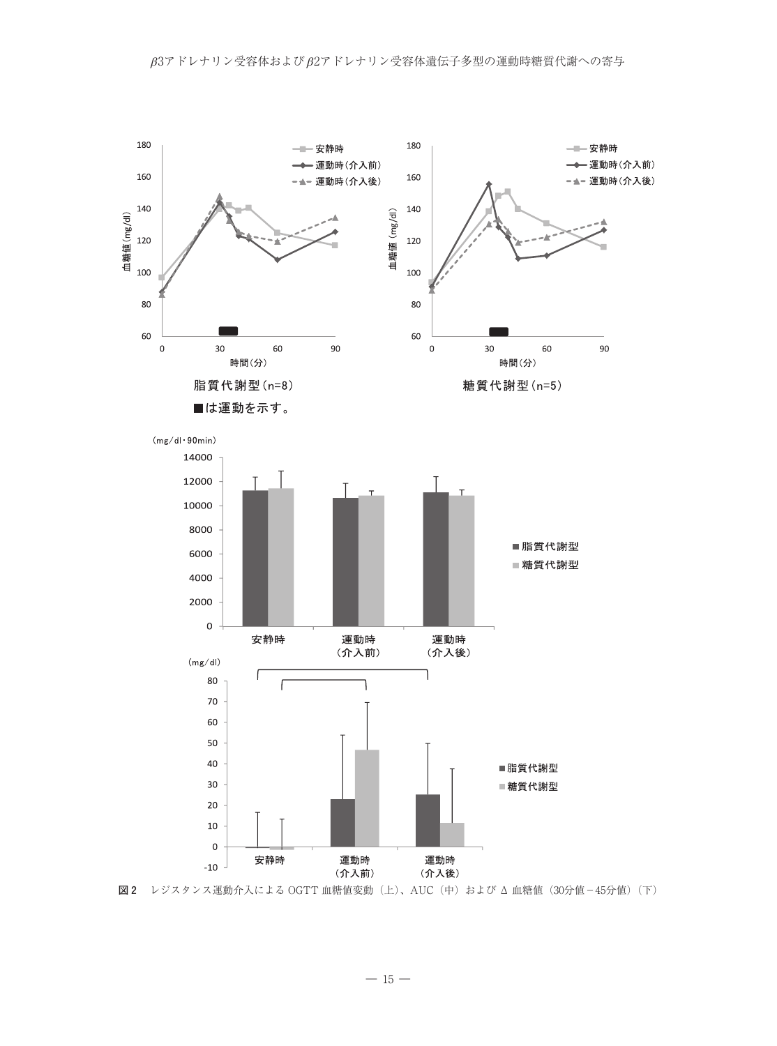

—  $15$  —